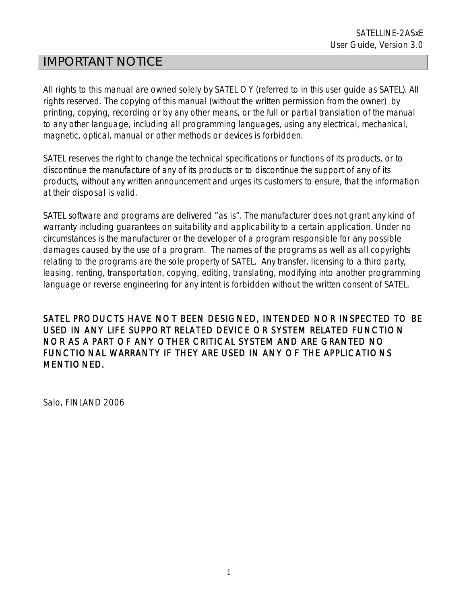# IMPORTANT NOTICE

All rights to this manual are owned solely by SATEL OY (referred to in this user guide as SATEL). All rights reserved. The copying of this manual (without the written permission from the owner) by printing, copying, recording or by any other means, or the full or partial translation of the manual to any other language, including all programming languages, using any electrical, mechanical, magnetic, optical, manual or other methods or devices is forbidden.

SATEL reserves the right to change the technical specifications or functions of its products, or to discontinue the manufacture of any of its products or to discontinue the support of any of its products, without any written announcement and urges its customers to ensure, that the information at their disposal is valid.

SATEL software and programs are delivered "as is". The manufacturer does not grant any kind of warranty including guarantees on suitability and applicability to a certain application. Under no circumstances is the manufacturer or the developer of a program responsible for any possible damages caused by the use of a program. The names of the programs as well as all copyrights relating to the programs are the sole property of SATEL. Any transfer, licensing to a third party, leasing, renting, transportation, copying, editing, translating, modifying into another programming language or reverse engineering for any intent is forbidden without the written consent of SATEL.

SATEL PRODUCTS HAVE NOT BEEN DESIGNED, INTENDED NOR INSPECTED TO BE USED IN ANY LIFE SUPPORT RELATED DEVICE OR SYSTEM RELATED FUNCTION NOR AS A PART OF ANY OTHER CRITICAL SYSTEM AND ARE GRANTED NO FUNCTIONAL WARRANTY IF THEY ARE USED IN ANY OF THE APPLICATIONS MENTIONED.

Salo, FINLAND 2006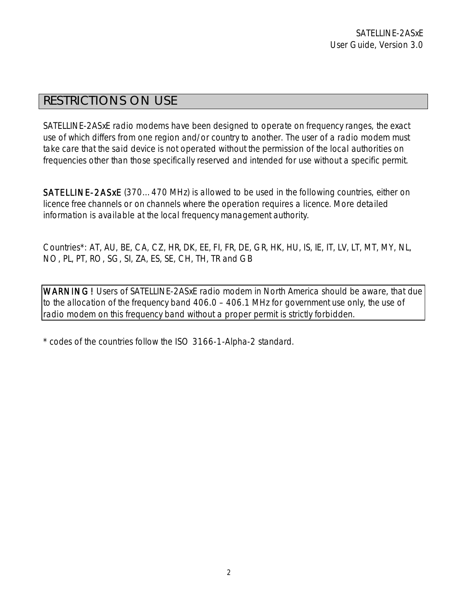# RESTRICTIONS ON USE

SATELLINE-2ASxE radio modems have been designed to operate on frequency ranges, the exact use of which differs from one region and/or country to another. The user of a radio modem must take care that the said device is not operated without the permission of the local authorities on frequencies other than those specifically reserved and intended for use without a specific permit.

SATELLINE-2ASxE (370…470 MHz) is allowed to be used in the following countries, either on licence free channels or on channels where the operation requires a licence. More detailed information is available at the local frequency management authority.

Countries\*: AT, AU, BE, CA, CZ, HR, DK, EE, FI, FR, DE, GR, HK, HU, IS, IE, IT, LV, LT, MT, MY, NL, NO, PL, PT, RO, SG, SI, ZA, ES, SE, CH, TH, TR and GB

WARNING! Users of SATELLINE-2ASxE radio modem in North America should be aware, that due to the allocation of the frequency band 406.0 – 406.1 MHz for government use only, the use of radio modem on this frequency band without a proper permit is strictly forbidden.

\* codes of the countries follow the ISO 3166-1-Alpha-2 standard.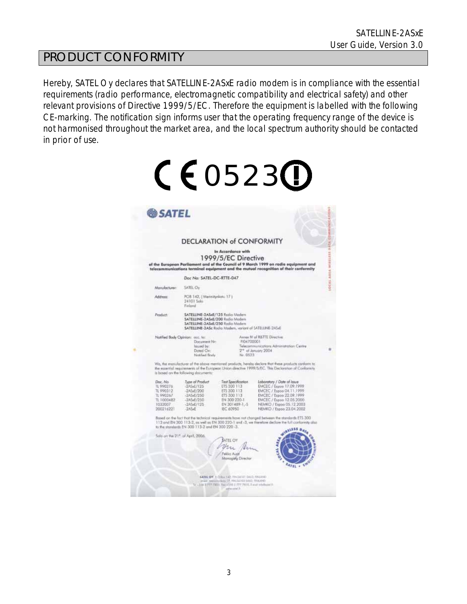# PRODUCT CONFORMITY

Hereby, SATEL Oy declares that SATELLINE-2ASxE radio modem is in compliance with the essential requirements (radio performance, electromagnetic compatibility and electrical safety) and other relevant provisions of Directive 1999/5/EC. Therefore the equipment is labelled with the following CE-marking. The notification sign informs user that the operating frequency range of the device is not harmonised throughout the market area, and the local spectrum authority should be contacted in prior of use.

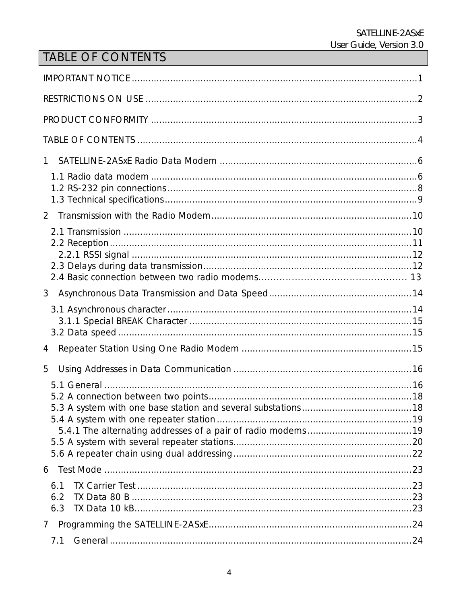# TABLE OF CONTENTS

| 1.                |  |
|-------------------|--|
|                   |  |
| $\overline{2}$    |  |
|                   |  |
| 3                 |  |
|                   |  |
| 4                 |  |
| 5                 |  |
|                   |  |
| 6.1<br>6.2<br>6.3 |  |
|                   |  |
| 7.1               |  |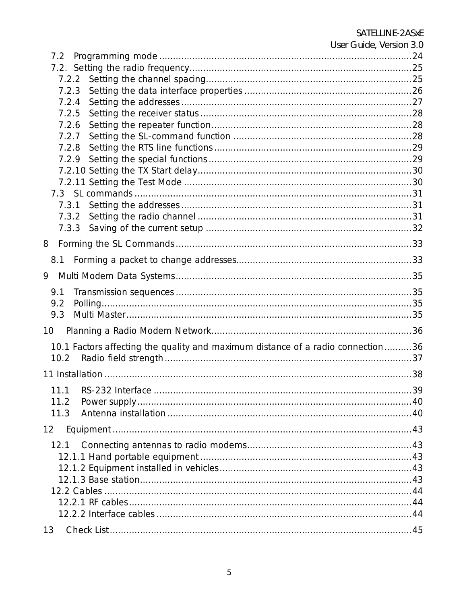| User Guide, Version 3.0                                                         |  |
|---------------------------------------------------------------------------------|--|
|                                                                                 |  |
|                                                                                 |  |
|                                                                                 |  |
| 7.2.4                                                                           |  |
| 7.2.5                                                                           |  |
| 7.2.6                                                                           |  |
| 7.2.7                                                                           |  |
|                                                                                 |  |
|                                                                                 |  |
|                                                                                 |  |
|                                                                                 |  |
|                                                                                 |  |
|                                                                                 |  |
|                                                                                 |  |
|                                                                                 |  |
| 8                                                                               |  |
|                                                                                 |  |
| 9                                                                               |  |
| 9.1                                                                             |  |
| 9.2                                                                             |  |
| 9.3                                                                             |  |
| 10                                                                              |  |
| 10.1 Factors affecting the quality and maximum distance of a radio connection36 |  |
| 10.2                                                                            |  |
|                                                                                 |  |
| 11.1                                                                            |  |
| 11.2                                                                            |  |
| 11.3                                                                            |  |
| $12 \overline{ }$                                                               |  |
| 12.1                                                                            |  |
|                                                                                 |  |
|                                                                                 |  |
|                                                                                 |  |
|                                                                                 |  |
|                                                                                 |  |
|                                                                                 |  |
| 13                                                                              |  |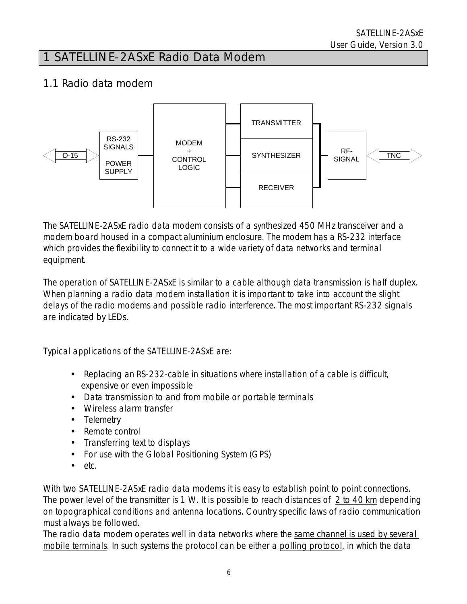# 1 SATELLINE-2ASxE Radio Data Modem

## 1.1 Radio data modem



The SATELLINE-2ASxE radio data modem consists of a synthesized 450 MHz transceiver and a modem board housed in a compact aluminium enclosure. The modem has a RS-232 interface which provides the flexibility to connect it to a wide variety of data networks and terminal equipment.

The operation of SATELLINE-2ASxE is similar to a cable although data transmission is half duplex. When planning a radio data modem installation it is important to take into account the slight delays of the radio modems and possible radio interference. The most important RS-232 signals are indicated by LEDs.

Typical applications of the SATELLINE-2ASxE are:

- Replacing an RS-232-cable in situations where installation of a cable is difficult, expensive or even impossible
- Data transmission to and from mobile or portable terminals
- Wireless alarm transfer
- Telemetry
- Remote control
- Transferring text to displays
- For use with the Global Positioning System (GPS)
- etc.

With two SATELLINE-2ASxE radio data modems it is easy to establish point to point connections. The power level of the transmitter is 1 W. It is possible to reach distances of 2 to 40 km depending on topographical conditions and antenna locations. Country specific laws of radio communication must always be followed.

The radio data modem operates well in data networks where the same channel is used by several mobile terminals. In such systems the protocol can be either a polling protocol, in which the data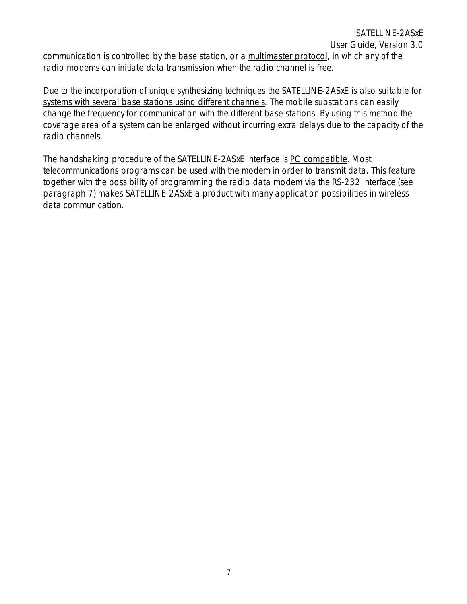User Guide, Version 3.0

communication is controlled by the base station, or a multimaster protocol, in which any of the radio modems can initiate data transmission when the radio channel is free.

Due to the incorporation of unique synthesizing techniques the SATELLINE-2ASxE is also suitable for systems with several base stations using different channels. The mobile substations can easily change the frequency for communication with the different base stations. By using this method the coverage area of a system can be enlarged without incurring extra delays due to the capacity of the radio channels.

The handshaking procedure of the SATELLINE-2ASxE interface is PC compatible. Most telecommunications programs can be used with the modem in order to transmit data. This feature together with the possibility of programming the radio data modem via the RS-232 interface (see paragraph 7) makes SATELLINE-2ASxE a product with many application possibilities in wireless data communication.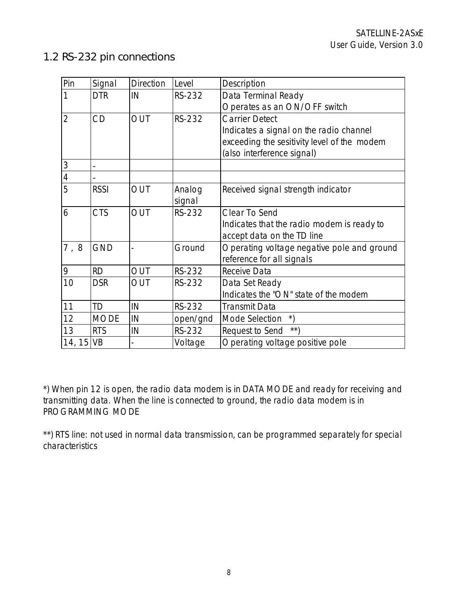# 1.2 RS-232 pin connections

| Pin            | Signal      | <b>Direction</b> | Level    | Description                                                             |  |  |
|----------------|-------------|------------------|----------|-------------------------------------------------------------------------|--|--|
| 1              | <b>DTR</b>  | IN               | RS-232   | Data Terminal Ready                                                     |  |  |
|                |             |                  |          | Operates as an ON/OFF switch                                            |  |  |
| $\overline{2}$ | CD          | OUT              | RS-232   | Carrier Detect                                                          |  |  |
|                |             |                  |          | Indicates a signal on the radio channel                                 |  |  |
|                |             |                  |          | exceeding the sesitivity level of the modem                             |  |  |
|                |             |                  |          | (also interference signal)                                              |  |  |
| $\mathfrak{Z}$ |             |                  |          |                                                                         |  |  |
| $\overline{4}$ |             |                  |          |                                                                         |  |  |
| 5              | <b>RSSI</b> | OUT              | Analog   | Received signal strength indicator                                      |  |  |
|                |             |                  | signal   |                                                                         |  |  |
| 6              | <b>CTS</b>  | OUT              | RS-232   | Clear To Send                                                           |  |  |
|                |             |                  |          | Indicates that the radio modem is ready to                              |  |  |
|                |             |                  |          | accept data on the TD line                                              |  |  |
| 7,8            | <b>GND</b>  |                  | Ground   | Operating voltage negative pole and ground<br>reference for all signals |  |  |
| 9              | <b>RD</b>   | <b>OUT</b>       | RS-232   | Receive Data                                                            |  |  |
| 10             | <b>DSR</b>  | OUT              | RS-232   | Data Set Ready                                                          |  |  |
|                |             |                  |          | Indicates the "ON" state of the modem                                   |  |  |
| 11             | <b>TD</b>   | IN               | RS-232   | <b>Transmit Data</b>                                                    |  |  |
| 12             | <b>MODE</b> | IN               | open/gnd | $\ast)$<br>Mode Selection                                               |  |  |
| 13             | <b>RTS</b>  | IN               | RS-232   | $\star \star$<br>Request to Send                                        |  |  |
| 14, 15 VB      |             |                  | Voltage  | Operating voltage positive pole                                         |  |  |

\*) When pin 12 is open, the radio data modem is in DATA MODE and ready for receiving and transmitting data. When the line is connected to ground, the radio data modem is in PROGRAMMING MODE

\*\*) RTS line: not used in normal data transmission, can be programmed separately for special characteristics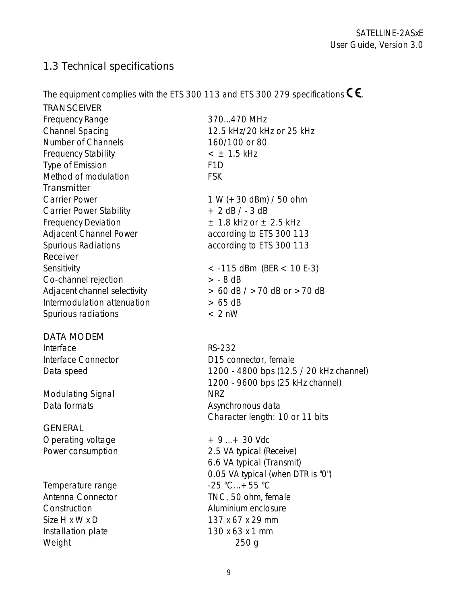# 1.3 Technical specifications

The equipment complies with the ETS 300 113 and ETS 300 279 specifications  $\textsf{C}\,\textsf{C}$ .

| <b>TRANSCEIVER</b>             |                                         |
|--------------------------------|-----------------------------------------|
| <b>Frequency Range</b>         | 370470 MHz                              |
| <b>Channel Spacing</b>         | 12.5 kHz/20 kHz or 25 kHz               |
| Number of Channels             | 160/100 or 80                           |
| <b>Frequency Stability</b>     | $<$ $\pm$ 1.5 kHz                       |
| Type of Emission               | F <sub>1</sub> D                        |
| Method of modulation           | <b>FSK</b>                              |
| Transmitter                    |                                         |
| <b>Carrier Power</b>           | $1 W (+ 30$ dBm) / 50 ohm               |
| <b>Carrier Power Stability</b> | $+ 2$ dB $/ - 3$ dB                     |
| <b>Frequency Deviation</b>     | $\pm$ 1.8 kHz or $\pm$ 2.5 kHz          |
| Adjacent Channel Power         | according to ETS 300 113                |
| Spurious Radiations            | according to ETS 300 113                |
| Receiver                       |                                         |
| Sensitivity                    | $<$ -115 dBm (BER $<$ 10 E-3)           |
| Co-channel rejection           | $> -8$ dB                               |
| Adjacent channel selectivity   | $> 60$ dB $/$ $> 70$ dB or $> 70$ dB    |
| Intermodulation attenuation    | > 65 dB                                 |
| Spurious radiations            | $< 2$ nW                                |
| <b>DATA MODEM</b>              |                                         |
| Interface                      | <b>RS-232</b>                           |
| Interface Connector            | D15 connector, female                   |
| Data speed                     | 1200 - 4800 bps (12.5 / 20 kHz channel) |
|                                | 1200 - 9600 bps (25 kHz channel)        |
| Modulating Signal              | <b>NRZ</b>                              |
| Data formats                   | Asynchronous data                       |
|                                | Character length: 10 or 11 bits         |
| <b>GENERAL</b>                 |                                         |
| Operating voltage              | $+9+30$ Vdc                             |
| Power consumption              | 2.5 VA typical (Receive)                |
|                                | 6.6 VA typical (Transmit)               |
|                                | 0.05 VA typical (when DTR is "0")       |
| Temperature range              | $-25 °C+55 °C$                          |
| Antenna Connector              | TNC, 50 ohm, female                     |
| Construction                   | Aluminium enclosure                     |

9

Size H x W x D 137 x 67 x 29 mm Installation plate 130 x 63 x 1 mm Weight 250 g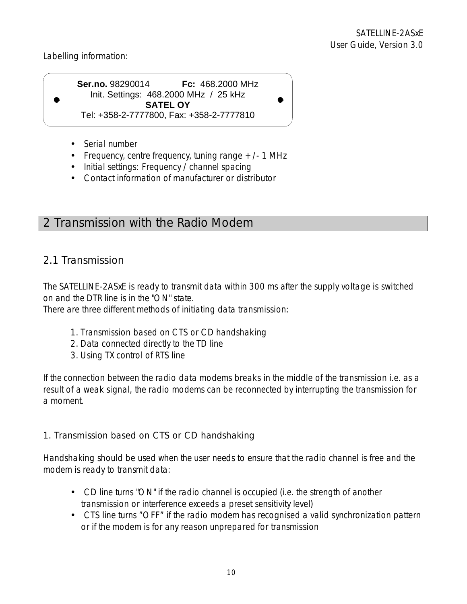Labelling information:

**Ser.no.** 98290014 **Fc:** 468.2000 MHz Init. Settings: 468.2000 MHz / 25 kHz **SATEL OY**  Tel: +358-2-7777800, Fax: +358-2-7777810

- Serial number
- Frequency, centre frequency, tuning range  $+/- 1$  MHz
- Initial settings: Frequency / channel spacing
- Contact information of manufacturer or distributor

# 2 Transmission with the Radio Modem

# 2.1 Transmission

The SATELLINE-2ASxE is ready to transmit data within 300 ms after the supply voltage is switched on and the DTR line is in the "ON" state.

There are three different methods of initiating data transmission:

- 1. Transmission based on CTS or CD handshaking
- 2. Data connected directly to the TD line
- 3. Using TX control of RTS line

If the connection between the radio data modems breaks in the middle of the transmission i.e. as a result of a weak signal, the radio modems can be reconnected by interrupting the transmission for a moment.

### 1. Transmission based on CTS or CD handshaking

Handshaking should be used when the user needs to ensure that the radio channel is free and the modem is ready to transmit data:

- CD line turns "ON" if the radio channel is occupied (i.e. the strength of another transmission or interference exceeds a preset sensitivity level)
- CTS line turns "OFF" if the radio modem has recognised a valid synchronization pattern or if the modem is for any reason unprepared for transmission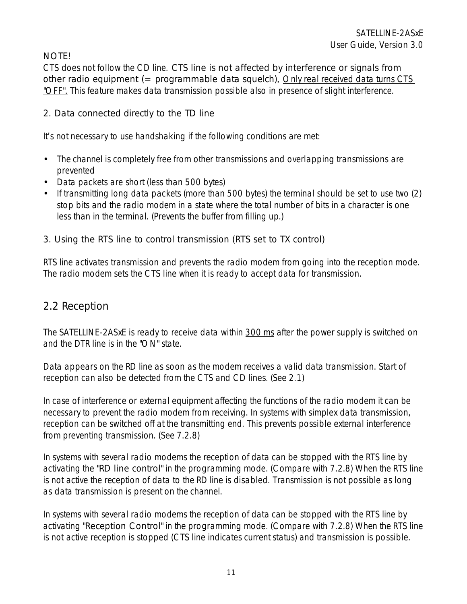### NOTE!

CTS does not follow the CD line. CTS line is not affected by interference or signals from other radio equipment  $(=$  programmable data squelch). Only real received data turns CTS "OFF". This feature makes data transmission possible also in presence of slight interference.

### 2. Data connected directly to the TD line

It's not necessary to use handshaking if the following conditions are met:

- The channel is completely free from other transmissions and overlapping transmissions are prevented
- Data packets are short (less than 500 bytes)
- If transmitting long data packets (more than 500 bytes) the terminal should be set to use two (2) stop bits and the radio modem in a state where the total number of bits in a character is one less than in the terminal. (Prevents the buffer from filling up.)

### 3. Using the RTS line to control transmission (RTS set to TX control)

RTS line activates transmission and prevents the radio modem from going into the reception mode. The radio modem sets the CTS line when it is ready to accept data for transmission.

## 2.2 Reception

The SATELLINE-2ASxE is ready to receive data within 300 ms after the power supply is switched on and the DTR line is in the "ON" state.

Data appears on the RD line as soon as the modem receives a valid data transmission. Start of reception can also be detected from the CTS and CD lines. (See 2.1)

In case of interference or external equipment affecting the functions of the radio modem it can be necessary to prevent the radio modem from receiving. In systems with simplex data transmission, reception can be switched off at the transmitting end. This prevents possible external interference from preventing transmission. (See 7.2.8)

In systems with several radio modems the reception of data can be stopped with the RTS line by activating the "RD line control" in the programming mode. (Compare with 7.2.8) When the RTS line is not active the reception of data to the RD line is disabled. Transmission is not possible as long as data transmission is present on the channel.

In systems with several radio modems the reception of data can be stopped with the RTS line by activating "Reception Control" in the programming mode. (Compare with 7.2.8) When the RTS line is not active reception is stopped (CTS line indicates current status) and transmission is possible.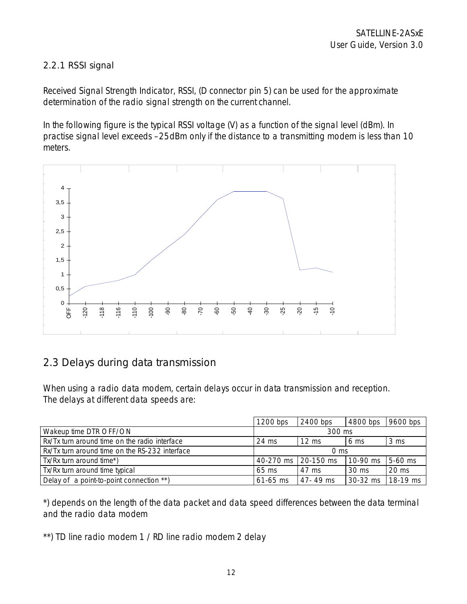### 2.2.1 RSSI signal

Received Signal Strength Indicator, RSSI, (D connector pin 5) can be used for the approximate determination of the radio signal strength on the current channel.

In the following figure is the typical RSSI voltage (V) as a function of the signal level (dBm). In practise signal level exceeds –25dBm only if the distance to a transmitting modem is less than 10 meters.



# 2.3 Delays during data transmission

When using a radio data modem, certain delays occur in data transmission and reception. The delays at different data speeds are:

|                                                | $1200$ bps           | 2400 bps        | 4800 bps | 9600 bps        |  |
|------------------------------------------------|----------------------|-----------------|----------|-----------------|--|
| Wakeup time DTR OFF/ON                         | 300 ms               |                 |          |                 |  |
| Rx/Tx turn around time on the radio interface  | 24 ms                | $12 \text{ ms}$ | 6 ms     | 3 ms            |  |
| Rx/Tx turn around time on the RS-232 interface | $0 \text{ ms}$       |                 |          |                 |  |
| Tx/Rx turn around time*)                       | 40-270 ms 120-150 ms |                 | 10-90 ms | $5-60$ ms       |  |
| Tx/Rx turn around time typical                 | $65 \text{ ms}$      | 47 ms           | 30 ms    | $20 \text{ ms}$ |  |
| Delay of a point-to-point connection **)       | $61 - 65$ ms         | $47 - 49$ ms    | 30-32 ms | 18-19 ms        |  |

\*) depends on the length of the data packet and data speed differences between the data terminal and the radio data modem

\*\*) TD line radio modem 1 / RD line radio modem 2 delay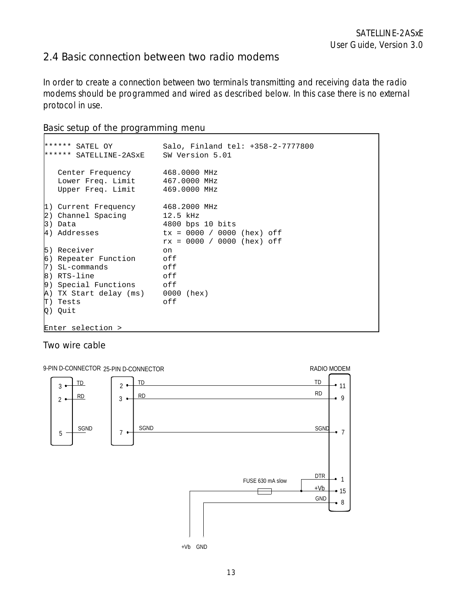## 2.4 Basic connection between two radio modems

In order to create a connection between two terminals transmitting and receiving data the radio modems should be programmed and wired as described below. In this case there is no external protocol in use.

#### Basic setup of the programming menu

| ****** SATEL OY<br>****** SATELLINE-2ASxE SW Version 5.01                                                                                                  | Salo, Finland tel: +358-2-7777800                                                |
|------------------------------------------------------------------------------------------------------------------------------------------------------------|----------------------------------------------------------------------------------|
| Center Frequency 468.0000 MHz<br>Lower Freq. Limit 467.0000 MHz<br>Upper Freq. Limit 469.0000 MHz                                                          |                                                                                  |
| 1) Current Frequency 468.2000 MHz<br>2) Channel Spacing 12.5 kHz<br>3) Data<br>4) Addresses                                                                | 4800 bps 10 bits<br>$tx = 0000 / 0000$ (hex) off<br>$rx = 0000 / 0000$ (hex) off |
| 5) Receiver<br>6) Repeater Function off<br>$7)$ SL-commands<br>$ 8)$ RTS-line<br>9) Special Functions off<br>A) TX Start delay (ms) 0000 (hex)<br>T) Tests | on<br>of f<br>off<br>off                                                         |
| Q) Quit<br>Enter selection >                                                                                                                               |                                                                                  |

#### Two wire cable

Г

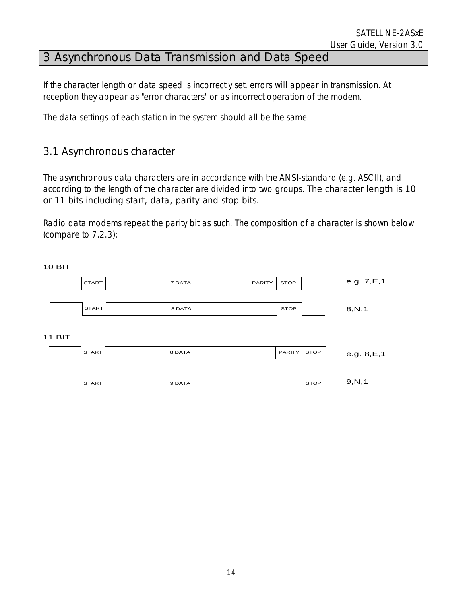# 3 Asynchronous Data Transmission and Data Speed

If the character length or data speed is incorrectly set, errors will appear in transmission. At reception they appear as "error characters" or as incorrect operation of the modem.

The data settings of each station in the system should all be the same.

### 3.1 Asynchronous character

 $10 \text{ } H$ 

The asynchronous data characters are in accordance with the ANSI-standard (e.g. ASCII), and according to the length of the character are divided into two groups. The character length is 10 or 11 bits including start, data, parity and stop bits.

Radio data modems repeat the parity bit as such. The composition of a character is shown below (compare to 7.2.3):

| 1 U D I 1     |              |        |        |               |             |              |
|---------------|--------------|--------|--------|---------------|-------------|--------------|
|               | <b>START</b> | 7 DATA | PARITY | <b>STOP</b>   |             | e.g. 7, E, 1 |
|               |              |        |        |               |             |              |
|               | <b>START</b> | 8 DATA |        | <b>STOP</b>   |             | 8, N, 1      |
|               |              |        |        |               |             |              |
| <b>11 BIT</b> |              |        |        |               |             |              |
|               | <b>START</b> | 8 DATA |        | <b>PARITY</b> | <b>STOP</b> | e.g. 8, E, 1 |
|               |              |        |        |               |             |              |
|               | <b>START</b> | 9 DATA |        |               | <b>STOP</b> | 9, N, 1      |
|               |              |        |        |               |             |              |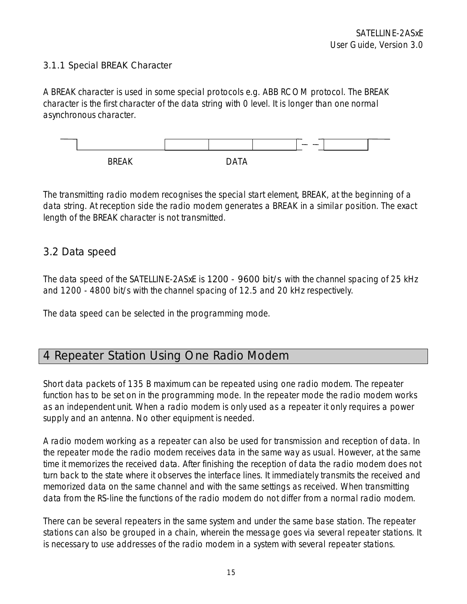#### 3.1.1 Special BREAK Character

A BREAK character is used in some special protocols e.g. ABB RCOM protocol. The BREAK character is the first character of the data string with 0 level. It is longer than one normal asynchronous character.



The transmitting radio modem recognises the special start element, BREAK, at the beginning of a data string. At reception side the radio modem generates a BREAK in a similar position. The exact length of the BREAK character is not transmitted.

### 3.2 Data speed

The data speed of the SATELLINE-2ASxE is 1200 - 9600 bit/s with the channel spacing of 25 kHz and 1200 - 4800 bit/s with the channel spacing of 12.5 and 20 kHz respectively.

The data speed can be selected in the programming mode.

# 4 Repeater Station Using One Radio Modem

Short data packets of 135 B maximum can be repeated using one radio modem. The repeater function has to be set on in the programming mode. In the repeater mode the radio modem works as an independent unit. When a radio modem is only used as a repeater it only requires a power supply and an antenna. No other equipment is needed.

A radio modem working as a repeater can also be used for transmission and reception of data. In the repeater mode the radio modem receives data in the same way as usual. However, at the same time it memorizes the received data. After finishing the reception of data the radio modem does not turn back to the state where it observes the interface lines. It immediately transmits the received and memorized data on the same channel and with the same settings as received. When transmitting data from the RS-line the functions of the radio modem do not differ from a normal radio modem.

There can be several repeaters in the same system and under the same base station. The repeater stations can also be grouped in a chain, wherein the message goes via several repeater stations. It is necessary to use addresses of the radio modem in a system with several repeater stations.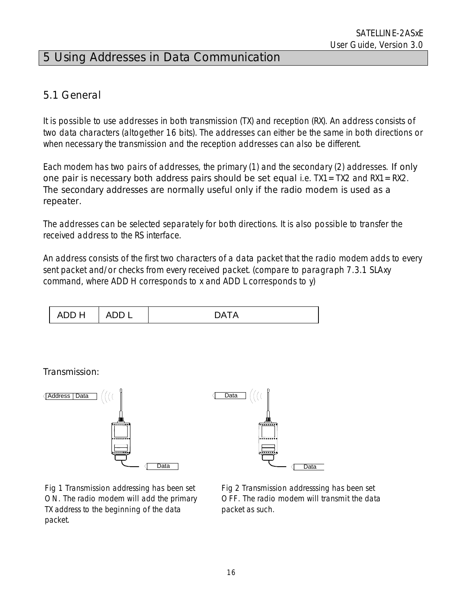# 5 Using Addresses in Data Communication

## 5.1 General

It is possible to use addresses in both transmission (TX) and reception (RX). An address consists of two data characters (altogether 16 bits). The addresses can either be the same in both directions or when necessary the transmission and the reception addresses can also be different.

Each modem has two pairs of addresses, the primary (1) and the secondary (2) addresses. If only one pair is necessary both address pairs should be set equal i.e.  $TX1 = TX2$  and  $RX1 = RX2$ . The secondary addresses are normally useful only if the radio modem is used as a repeater.

The addresses can be selected separately for both directions. It is also possible to transfer the received address to the RS interface.

An address consists of the first two characters of a data packet that the radio modem adds to every sent packet and/or checks from every received packet. (compare to paragraph 7.3.1 SLAxy command, where ADD H corresponds to x and ADD L corresponds to y)



Transmission:



Fig 1 Transmission addressing has been set ON. The radio modem will add the primary TX address to the beginning of the data packet.

 Fig 2 Transmission addresssing has been set OFF. The radio modem will transmit the data packet as such.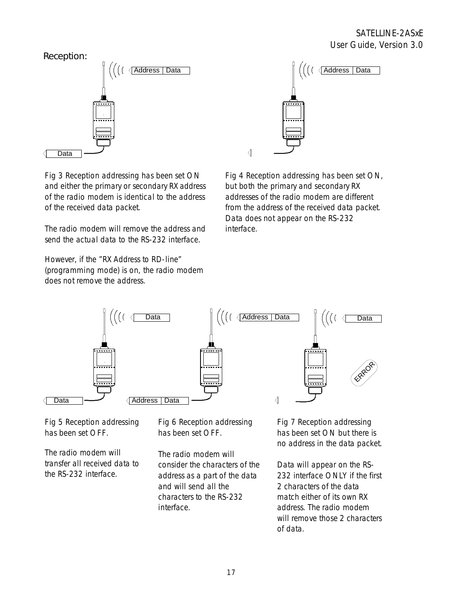

Fig 3 Reception addressing has been set ON and either the primary or secondary RX address of the radio modem is identical to the address of the received data packet.

The radio modem will remove the address and send the actual data to the RS-232 interface.

However, if the "RX Address to RD-line" (programming mode) is on, the radio modem does not remove the address.



 Fig 4 Reception addressing has been set ON, but both the primary and secondary RX addresses of the radio modem are different from the address of the received data packet. Data does not appear on the RS-232 interface.

 $\langle$ 



Fig 5 Reception addressing has been set OFF.

The radio modem will transfer all received data to the RS-232 interface.

 Fig 6 Reception addressing has been set OFF.

The radio modem will consider the characters of the address as a part of the data and will send all the characters to the RS-232 interface.

 Fig 7 Reception addressing has been set ON but there is no address in the data packet.

Data will appear on the RS-232 interface ONLY if the first 2 characters of the data match either of its own RX address. The radio modem will remove those 2 characters of data.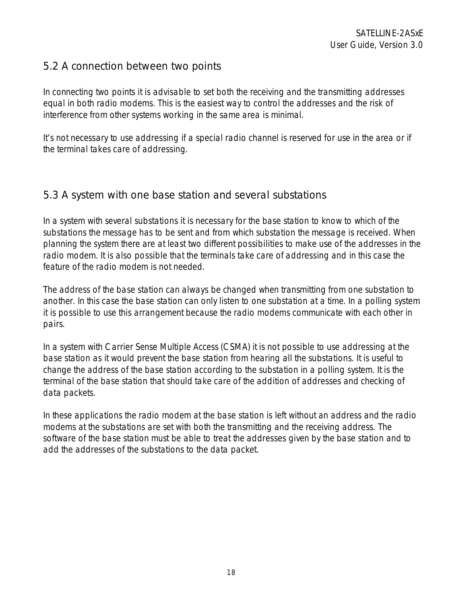## 5.2 A connection between two points

In connecting two points it is advisable to set both the receiving and the transmitting addresses equal in both radio modems. This is the easiest way to control the addresses and the risk of interference from other systems working in the same area is minimal.

It's not necessary to use addressing if a special radio channel is reserved for use in the area or if the terminal takes care of addressing.

### 5.3 A system with one base station and several substations

In a system with several substations it is necessary for the base station to know to which of the substations the message has to be sent and from which substation the message is received. When planning the system there are at least two different possibilities to make use of the addresses in the radio modem. It is also possible that the terminals take care of addressing and in this case the feature of the radio modem is not needed.

The address of the base station can always be changed when transmitting from one substation to another. In this case the base station can only listen to one substation at a time. In a polling system it is possible to use this arrangement because the radio modems communicate with each other in pairs.

In a system with Carrier Sense Multiple Access (CSMA) it is not possible to use addressing at the base station as it would prevent the base station from hearing all the substations. It is useful to change the address of the base station according to the substation in a polling system. It is the terminal of the base station that should take care of the addition of addresses and checking of data packets.

In these applications the radio modem at the base station is left without an address and the radio modems at the substations are set with both the transmitting and the receiving address. The software of the base station must be able to treat the addresses given by the base station and to add the addresses of the substations to the data packet.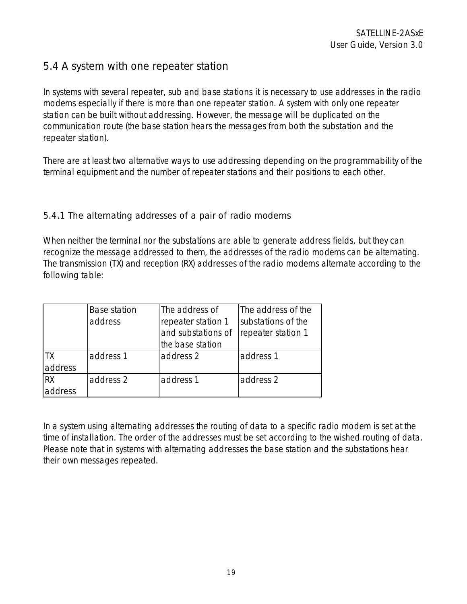## 5.4 A system with one repeater station

In systems with several repeater, sub and base stations it is necessary to use addresses in the radio modems especially if there is more than one repeater station. A system with only one repeater station can be built without addressing. However, the message will be duplicated on the communication route (the base station hears the messages from both the substation and the repeater station).

There are at least two alternative ways to use addressing depending on the programmability of the terminal equipment and the number of repeater stations and their positions to each other.

#### 5.4.1 The alternating addresses of a pair of radio modems

When neither the terminal nor the substations are able to generate address fields, but they can recognize the message addressed to them, the addresses of the radio modems can be alternating. The transmission (TX) and reception (RX) addresses of the radio modems alternate according to the following table:

|           | Base station | The address of     | The address of the |  |
|-----------|--------------|--------------------|--------------------|--|
| address   |              | repeater station 1 | substations of the |  |
|           |              | and substations of | repeater station 1 |  |
|           |              | the base station   |                    |  |
| TΧ        | address 1    | address 2          | address 1          |  |
| address   |              |                    |                    |  |
| <b>RX</b> | address 2    | address 1          | address 2          |  |
| address   |              |                    |                    |  |

In a system using alternating addresses the routing of data to a specific radio modem is set at the time of installation. The order of the addresses must be set according to the wished routing of data. Please note that in systems with alternating addresses the base station and the substations hear their own messages repeated.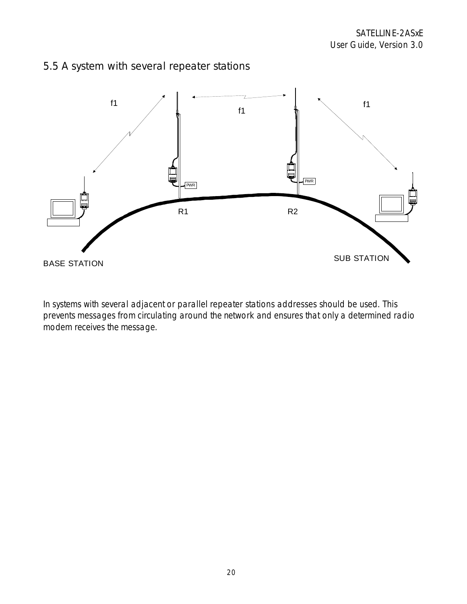## 5.5 A system with several repeater stations



In systems with several adjacent or parallel repeater stations addresses should be used. This prevents messages from circulating around the network and ensures that only a determined radio modem receives the message.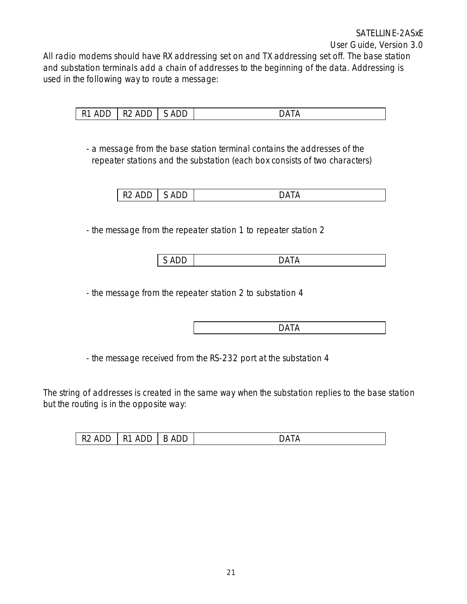All radio modems should have RX addressing set on and TX addressing set off. The base station and substation terminals add a chain of addresses to the beginning of the data. Addressing is used in the following way to route a message:

| - ۍ<br>$\mathbf{v}$ | $\mathbf{r}$    | $\mathbf{r}$ | ۱Λ |
|---------------------|-----------------|--------------|----|
|                     | . .<br>-<br>ヽレ∟ | -            |    |

- a message from the base station terminal contains the addresses of the repeater stations and the substation (each box consists of two characters)

- the message from the repeater station 1 to repeater station 2

SADD BATA

- the message from the repeater station 2 to substation 4

de la contradición de la contradición de la contradición de la contradición de la contradición de la contradición de la contradición de la contradición de la contradición de la contradición de la contradición de la contrad

- the message received from the RS-232 port at the substation 4

The string of addresses is created in the same way when the substation replies to the base station but the routing is in the opposite way:

|  | ∕ د.<br>$\mathbf{v}$<br>ے . | . .<br>ヽレ レ | DĽ<br>Δ<br>-<br>◡ | ١Δ<br>-<br>—<br>. . |
|--|-----------------------------|-------------|-------------------|---------------------|
|--|-----------------------------|-------------|-------------------|---------------------|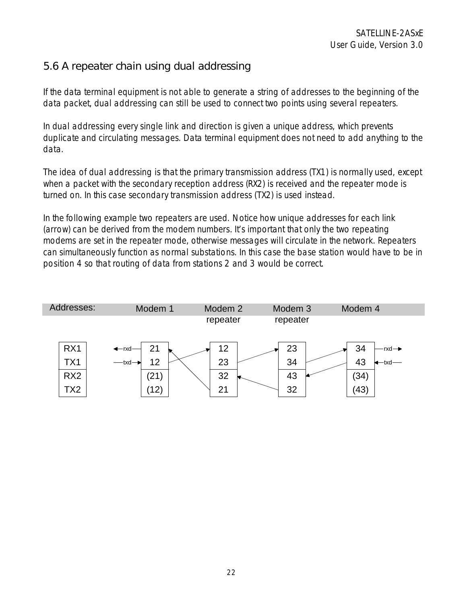# 5.6 A repeater chain using dual addressing

If the data terminal equipment is not able to generate a string of addresses to the beginning of the data packet, dual addressing can still be used to connect two points using several repeaters.

In dual addressing every single link and direction is given a unique address, which prevents duplicate and circulating messages. Data terminal equipment does not need to add anything to the data.

The idea of dual addressing is that the primary transmission address (TX1) is normally used, except when a packet with the secondary reception address (RX2) is received and the repeater mode is turned on. In this case secondary transmission address (TX2) is used instead.

In the following example two repeaters are used. Notice how unique addresses for each link (arrow) can be derived from the modem numbers. It's important that only the two repeating modems are set in the repeater mode, otherwise messages will circulate in the network. Repeaters can simultaneously function as normal substations. In this case the base station would have to be in position 4 so that routing of data from stations 2 and 3 would be correct.

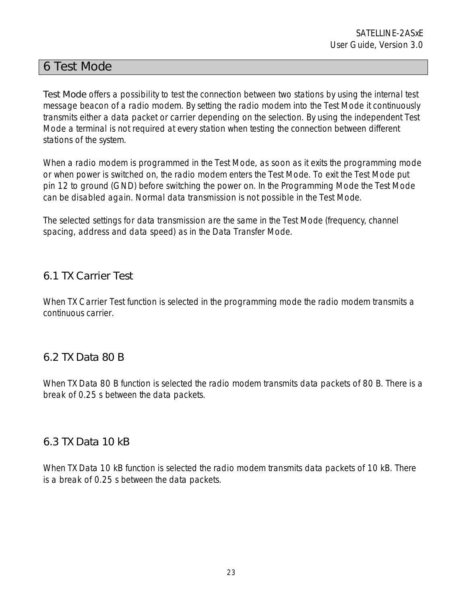## 6 Test Mode

Test Mode offers a possibility to test the connection between two stations by using the internal test message beacon of a radio modem. By setting the radio modem into the Test Mode it continuously transmits either a data packet or carrier depending on the selection. By using the independent Test Mode a terminal is not required at every station when testing the connection between different stations of the system.

When a radio modem is programmed in the Test Mode, as soon as it exits the programming mode or when power is switched on, the radio modem enters the Test Mode. To exit the Test Mode put pin 12 to ground (GND) before switching the power on. In the Programming Mode the Test Mode can be disabled again. Normal data transmission is not possible in the Test Mode.

The selected settings for data transmission are the same in the Test Mode (frequency, channel spacing, address and data speed) as in the Data Transfer Mode.

## 6.1 TX Carrier Test

When TX Carrier Test function is selected in the programming mode the radio modem transmits a continuous carrier.

### 6.2 TX Data 80 B

When TX Data 80 B function is selected the radio modem transmits data packets of 80 B. There is a break of 0.25 s between the data packets.

### 6.3 TX Data 10 kB

When TX Data 10 kB function is selected the radio modem transmits data packets of 10 kB. There is a break of 0.25 s between the data packets.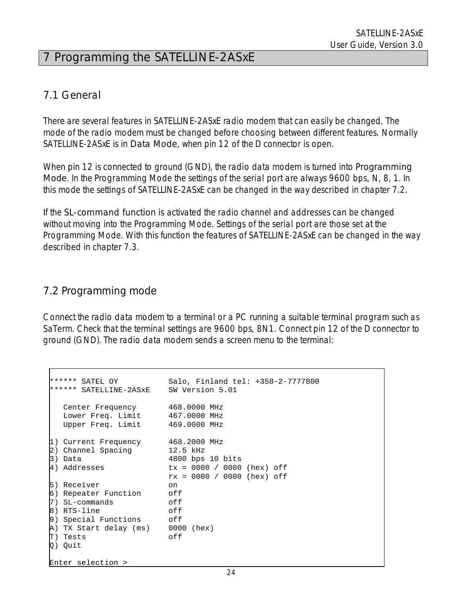# 7 Programming the SATELLINE-2ASxE

### 7.1 General

There are several features in SATELLINE-2ASxE radio modem that can easily be changed. The mode of the radio modem must be changed before choosing between different features. Normally SATELLINE-2ASxE is in Data Mode, when pin 12 of the D connector is open.

When pin 12 is connected to ground (GND), the radio data modem is turned into **Programming** Mode. In the Programming Mode the settings of the serial port are always 9600 bps, N, 8, 1. In this mode the settings of SATELLINE-2ASxE can be changed in the way described in chapter 7.2.

If the SL-command function is activated the radio channel and addresses can be changed without moving into the Programming Mode. Settings of the serial port are those set at the Programming Mode. With this function the features of SATELLINE-2ASxE can be changed in the way described in chapter 7.3.

### 7.2 Programming mode

Connect the radio data modem to a terminal or a PC running a suitable terminal program such as SaTerm. Check that the terminal settings are 9600 bps, 8N1. Connect pin 12 of the D connector to ground (GND). The radio data modem sends a screen menu to the terminal:

```
****** SATEL OY Salo, Finland tel: +358-2-7777800 
****** SATELLINE-2ASxE SW Version 5.01 
   Center Frequency 468.0000 MHz 
  Lower Freq. Limit 467.0000 MHz
   Upper Freq. Limit 469.0000 MHz 
1) Current Frequency 468.2000 MHz 
2) Channel Spacing 12.5 kHz 
3) Data<br>4) Addresses (1992) tx = 0000 / 0000
                     tx = 0000 / 0000 (hex) off
                      rx = 0000 / 0000 (hex) off 
5) Receiver on 
6) Repeater Function off 
7) SL-commands off 
8) RTS-line off 
9) Special Functions off 
A) TX Start delay (ms) 0000 (hex) 
T) Tests off 
Q) Quit 
Enter selection >
```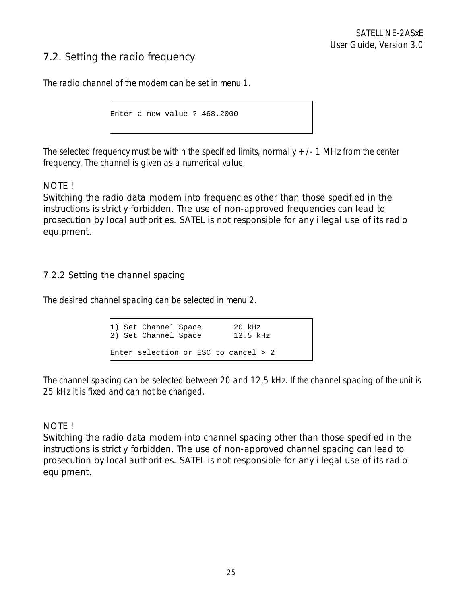## 7.2. Setting the radio frequency

The radio channel of the modem can be set in menu 1.

Enter a new value ? 468.2000

The selected frequency must be within the specified limits, normally  $+/-1$  MHz from the center frequency. The channel is given as a numerical value.

#### NOTE !

Switching the radio data modem into frequencies other than those specified in the instructions is strictly forbidden. The use of non-approved frequencies can lead to prosecution by local authorities. SATEL is not responsible for any illegal use of its radio equipment.

#### 7.2.2 Setting the channel spacing

The desired channel spacing can be selected in menu 2.

| 1) Set Channel Space<br>2) Set Channel Space |  | $20$ kHz<br>$12.5$ kHz |  |
|----------------------------------------------|--|------------------------|--|
| Enter selection or ESC to cancel > 2         |  |                        |  |

The channel spacing can be selected between 20 and 12,5 kHz. If the channel spacing of the unit is 25 kHz it is fixed and can not be changed.

#### NOTE !

Switching the radio data modem into channel spacing other than those specified in the instructions is strictly forbidden. The use of non-approved channel spacing can lead to prosecution by local authorities. SATEL is not responsible for any illegal use of its radio equipment.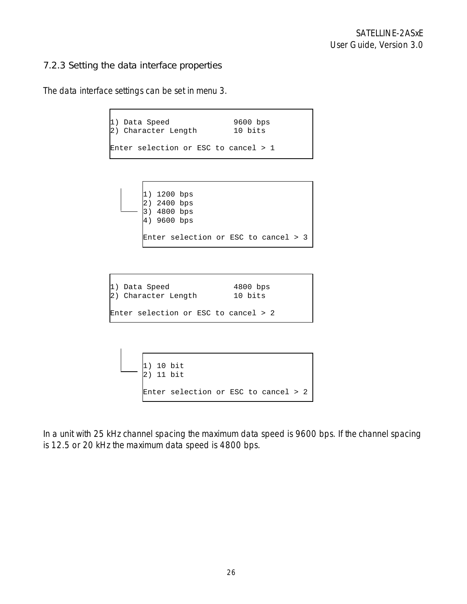#### 7.2.3 Setting the data interface properties

The data interface settings can be set in menu 3.

```
1) Data Speed 19600 bps<br>2) Character Length 10 bits
2) Character Length
Enter selection or ESC to cancel > 1
```


| 1) Data Speed                        | $4800$ bps |
|--------------------------------------|------------|
| 2) Character Length                  | 10 bits    |
| Enter selection or ESC to cancel > 2 |            |

```
1) 10 bit 
2) 11 bit 
Enter selection or ESC to cancel > 2
```
In a unit with 25 kHz channel spacing the maximum data speed is 9600 bps. If the channel spacing is 12.5 or 20 kHz the maximum data speed is 4800 bps.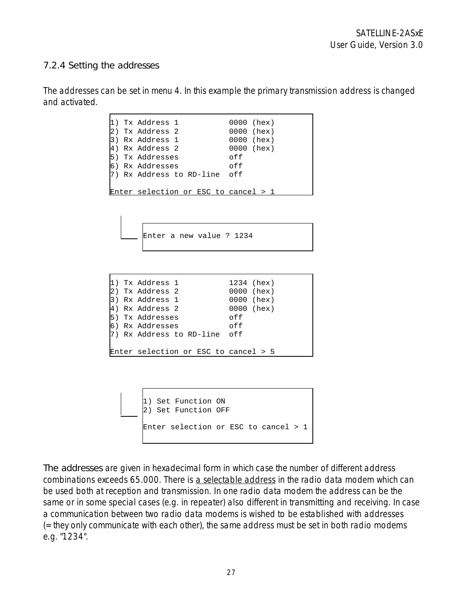#### 7.2.4 Setting the addresses

The addresses can be set in menu 4. In this example the primary transmission address is changed and activated.

|  | 1) Tx Address 1                        |  |     | 0000 (hex) |  |
|--|----------------------------------------|--|-----|------------|--|
|  | 2) Tx Address 2                        |  |     | 0000 (hex) |  |
|  | 3) Rx Address 1                        |  |     | 0000 (hex) |  |
|  | 4) Rx Address 2                        |  |     | 0000 (hex) |  |
|  | 5) Tx Addresses                        |  | off |            |  |
|  | 6) Rx Addresses                        |  | off |            |  |
|  | 7) Rx Address to RD-line off           |  |     |            |  |
|  |                                        |  |     |            |  |
|  | Enter selection or ESC to cancel $> 1$ |  |     |            |  |

```
Enter a new value ? 1234
```

|  | 1) Tx Address 1                      |  | 1234 (hex) |  |  |
|--|--------------------------------------|--|------------|--|--|
|  | 2) Tx Address 2                      |  | 0000 (hex) |  |  |
|  | 3) Rx Address 1                      |  | 0000 (hex) |  |  |
|  | 4) Rx Address 2                      |  | 0000 (hex) |  |  |
|  | 5) Tx Addresses                      |  | off        |  |  |
|  | 6) Rx Addresses                      |  | off        |  |  |
|  | 7) Rx Address to RD-line off         |  |            |  |  |
|  |                                      |  |            |  |  |
|  | Enter selection or ESC to cancel > 5 |  |            |  |  |

```
1) Set Function ON 
2) Set Function OFF 
Enter selection or ESC to cancel > 1
```
The addresses are given in hexadecimal form in which case the number of different address combinations exceeds 65.000. There is a selectable address in the radio data modem which can be used both at reception and transmission. In one radio data modem the address can be the same or in some special cases (e.g. in repeater) also different in transmitting and receiving. In case a communication between two radio data modems is wished to be established with addresses (=they only communicate with each other), the same address must be set in both radio modems e.g. "1234".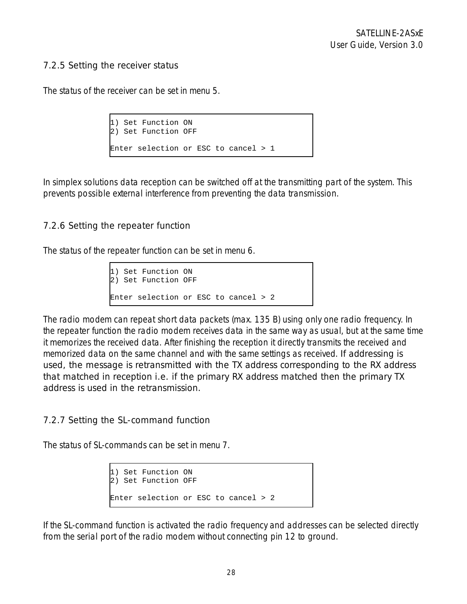#### 7.2.5 Setting the receiver status

The status of the receiver can be set in menu 5.

```
1) Set Function ON 
2) Set Function OFF 
Enter selection or ESC to cancel > 1
```
In simplex solutions data reception can be switched off at the transmitting part of the system. This prevents possible external interference from preventing the data transmission.

#### 7.2.6 Setting the repeater function

The status of the repeater function can be set in menu 6.

```
1) Set Function ON 
2) Set Function OFF 
Enter selection or ESC to cancel > 2
```
The radio modem can repeat short data packets (max. 135 B) using only one radio frequency. In the repeater function the radio modem receives data in the same way as usual, but at the same time it memorizes the received data. After finishing the reception it directly transmits the received and memorized data on the same channel and with the same settings as received. If addressing is used, the message is retransmitted with the TX address corresponding to the RX address that matched in reception i.e. if the primary RX address matched then the primary TX address is used in the retransmission.

#### 7.2.7 Setting the SL-command function

The status of SL-commands can be set in menu 7.

```
1) Set Function ON 
2) Set Function OFF 
Enter selection or ESC to cancel > 2
```
If the SL-command function is activated the radio frequency and addresses can be selected directly from the serial port of the radio modem without connecting pin 12 to ground.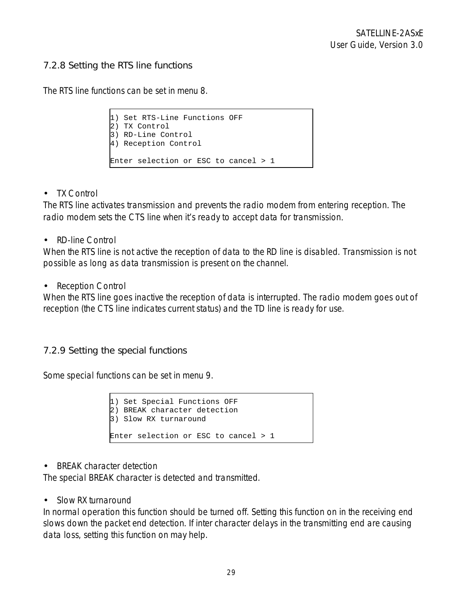#### 7.2.8 Setting the RTS line functions

The RTS line functions can be set in menu 8.

```
1) Set RTS-Line Functions OFF 
2) TX Control 
3) RD-Line Control 
4) Reception Control 
Enter selection or ESC to cancel > 1
```
• TX Control

The RTS line activates transmission and prevents the radio modem from entering reception. The radio modem sets the CTS line when it's ready to accept data for transmission.

• RD-line Control

When the RTS line is not active the reception of data to the RD line is disabled. Transmission is not possible as long as data transmission is present on the channel.

• Reception Control

When the RTS line goes inactive the reception of data is interrupted. The radio modem goes out of reception (the CTS line indicates current status) and the TD line is ready for use.

#### 7.2.9 Setting the special functions

Some special functions can be set in menu 9.

```
1) Set Special Functions OFF 
2) BREAK character detection 
3) Slow RX turnaround 
Enter selection or ESC to cancel > 1
```
• BREAK character detection

The special BREAK character is detected and transmitted.

• Slow RX turnaround

In normal operation this function should be turned off. Setting this function on in the receiving end slows down the packet end detection. If inter character delays in the transmitting end are causing data loss, setting this function on may help.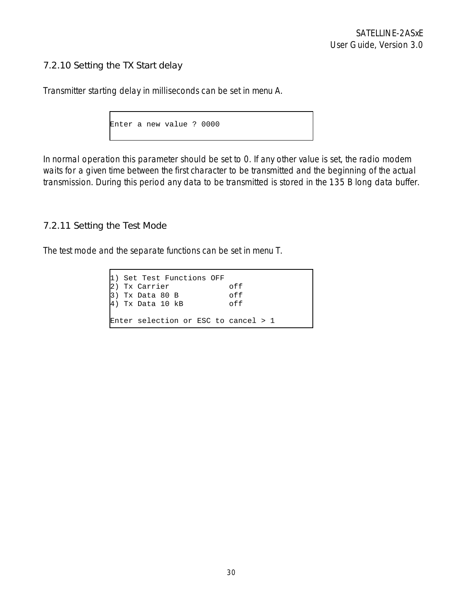### 7.2.10 Setting the TX Start delay

Transmitter starting delay in milliseconds can be set in menu A.

```
Enter a new value ? 0000
```
In normal operation this parameter should be set to 0. If any other value is set, the radio modem waits for a given time between the first character to be transmitted and the beginning of the actual transmission. During this period any data to be transmitted is stored in the 135 B long data buffer.

#### 7.2.11 Setting the Test Mode

The test mode and the separate functions can be set in menu T.

1) Set Test Functions OFF 2) Tx Carrier off<br>3) Tx Data 80 B off  $3)$  Tx Data 80 B  $|4)$  Tx Data 10 kB off Enter selection or ESC to cancel > 1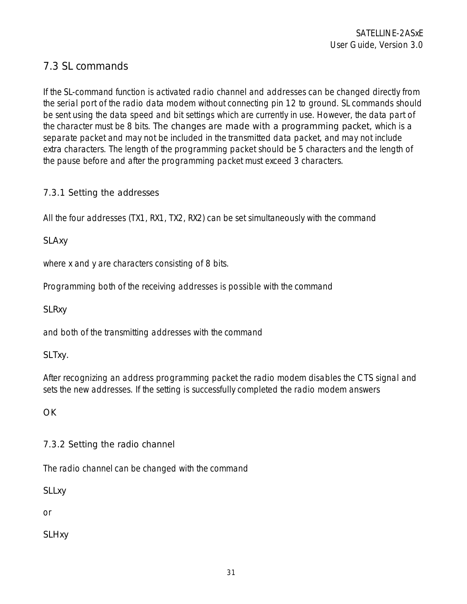# 7.3 SL commands

If the SL-command function is activated radio channel and addresses can be changed directly from the serial port of the radio data modem without connecting pin 12 to ground. SL commands should be sent using the data speed and bit settings which are currently in use. However, the data part of the character must be 8 bits. The changes are made with a programming packet, which is a separate packet and may not be included in the transmitted data packet, and may not include extra characters. The length of the programming packet should be 5 characters and the length of the pause before and after the programming packet must exceed 3 characters.

#### 7.3.1 Setting the addresses

All the four addresses (TX1, RX1, TX2, RX2) can be set simultaneously with the command

#### SLAxy

where x and y are characters consisting of 8 bits.

Programming both of the receiving addresses is possible with the command

#### **SLRxy**

and both of the transmitting addresses with the command

#### SLTxy.

After recognizing an address programming packet the radio modem disables the CTS signal and sets the new addresses. If the setting is successfully completed the radio modem answers

**OK** 

#### 7.3.2 Setting the radio channel

The radio channel can be changed with the command

**SLLxy** 

or

**SLHxy**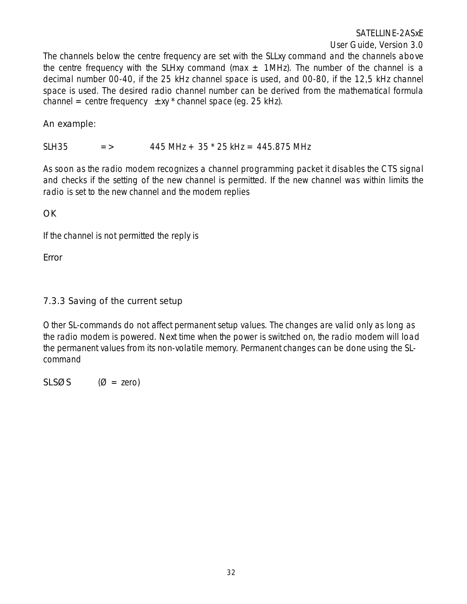SATELLINE-2ASxE

User Guide, Version 3.0

The channels below the centre frequency are set with the SLLxy command and the channels above the centre frequency with the SLHxy command (max  $\pm$  1MHz). The number of the channel is a decimal number 00-40, if the 25 kHz channel space is used, and 00-80, if the 12,5 kHz channel space is used. The desired radio channel number can be derived from the mathematical formula channel = centre frequency  $\pm xy$  \* channel space (eg. 25 kHz).

#### An example:

SLH35  $=$  > 445 MHz + 35  $*$  25 kHz = 445.875 MHz

As soon as the radio modem recognizes a channel programming packet it disables the CTS signal and checks if the setting of the new channel is permitted. If the new channel was within limits the radio is set to the new channel and the modem replies

**OK** 

If the channel is not permitted the reply is

Error

#### 7.3.3 Saving of the current setup

Other SL-commands do not affect permanent setup values. The changes are valid only as long as the radio modem is powered. Next time when the power is switched on, the radio modem will load the permanent values from its non-volatile memory. Permanent changes can be done using the SLcommand

 $SLSØS$  ( $Ø = zero$ )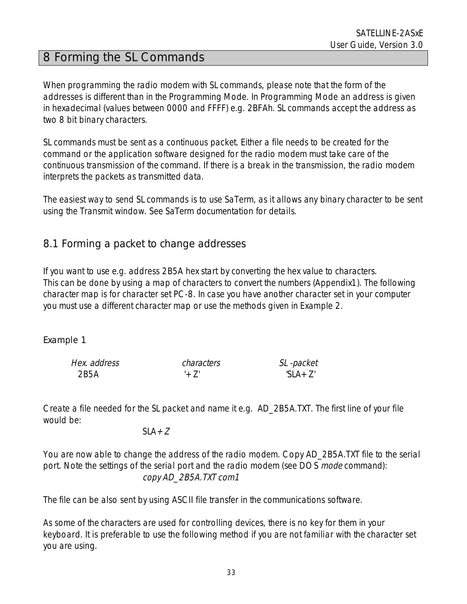# 8 Forming the SL Commands

When programming the radio modem with SL commands, please note that the form of the addresses is different than in the Programming Mode. In Programming Mode an address is given in hexadecimal (values between 0000 and FFFF) e.g. 2BFAh. SL commands accept the address as two 8 bit binary characters.

SL commands must be sent as a continuous packet. Either a file needs to be created for the command or the application software designed for the radio modem must take care of the continuous transmission of the command. If there is a break in the transmission, the radio modem interprets the packets as transmitted data.

The easiest way to send SL commands is to use SaTerm, as it allows any binary character to be sent using the Transmit window. See SaTerm documentation for details.

### 8.1 Forming a packet to change addresses

If you want to use e.g. address 2B5A hex start by converting the hex value to characters. This can be done by using a map of characters to convert the numbers (Appendix1). The following character map is for character set PC-8. In case you have another character set in your computer you must use a different character map or use the methods given in Example 2.

#### Example 1

| Hex. address | characters | SL -packet  |
|--------------|------------|-------------|
| 2B5A         |            | 'SI $A+7$ ' |

Create a file needed for the SL packet and name it e.g. AD\_2B5A.TXT. The first line of your file would be:

#### $SLA+Z$

You are now able to change the address of the radio modem. Copy AD\_2B5A.TXT file to the serial port. Note the settings of the serial port and the radio modem (see DOS *mode* command): copy AD\_2B5A.TXT com1

The file can be also sent by using ASCII file transfer in the communications software.

As some of the characters are used for controlling devices, there is no key for them in your keyboard. It is preferable to use the following method if you are not familiar with the character set you are using.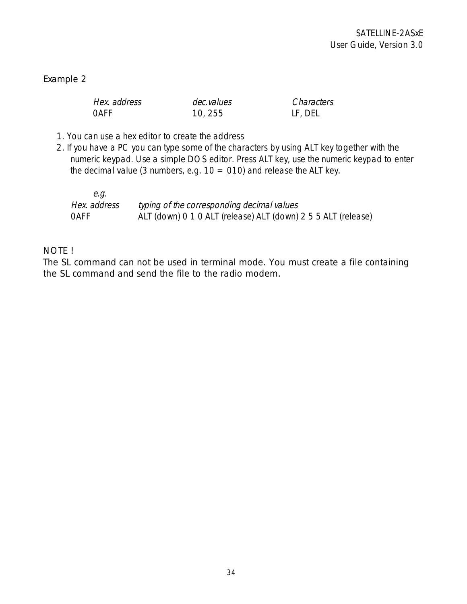#### Example 2

| Hex. address | dec.values | Characters |
|--------------|------------|------------|
| <b>OAFF</b>  | 10, 255    | LF, DEL    |

- 1. You can use a hex editor to create the address
- 2. If you have a PC you can type some of the characters by using ALT key together with the numeric keypad. Use a simple DOS editor. Press ALT key, use the numeric keypad to enter the decimal value (3 numbers, e.g.  $10 = 010$ ) and release the ALT key.

| e.a.         |                                                               |
|--------------|---------------------------------------------------------------|
| Hex. address | typing of the corresponding decimal values                    |
| <b>OAFF</b>  | ALT (down) 0 1 0 ALT (release) ALT (down) 2 5 5 ALT (release) |

#### NOTE !

The SL command can not be used in terminal mode. You must create a file containing the SL command and send the file to the radio modem.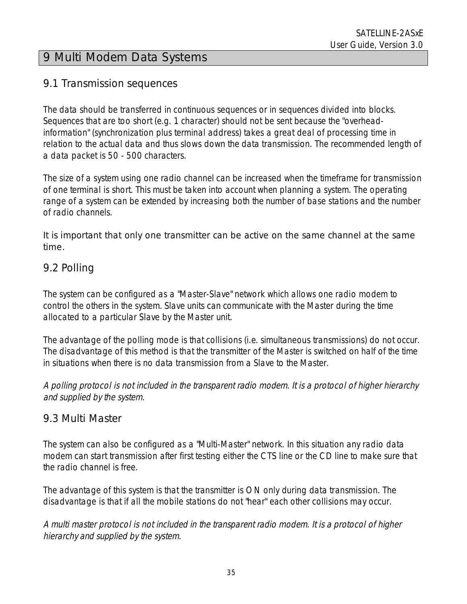# 9 Multi Modem Data Systems

### 9.1 Transmission sequences

The data should be transferred in continuous sequences or in sequences divided into blocks. Sequences that are too short (e.g. 1 character) should not be sent because the "overheadinformation" (synchronization plus terminal address) takes a great deal of processing time in relation to the actual data and thus slows down the data transmission. The recommended length of a data packet is 50 - 500 characters.

The size of a system using one radio channel can be increased when the timeframe for transmission of one terminal is short. This must be taken into account when planning a system. The operating range of a system can be extended by increasing both the number of base stations and the number of radio channels.

It is important that only one transmitter can be active on the same channel at the same time.

## 9.2 Polling

The system can be configured as a "Master-Slave" network which allows one radio modem to control the others in the system. Slave units can communicate with the Master during the time allocated to a particular Slave by the Master unit.

The advantage of the polling mode is that collisions (i.e. simultaneous transmissions) do not occur. The disadvantage of this method is that the transmitter of the Master is switched on half of the time in situations when there is no data transmission from a Slave to the Master.

A polling protocol is not included in the transparent radio modem. It is a protocol of higher hierarchy and supplied by the system.

### 9.3 Multi Master

The system can also be configured as a "Multi-Master" network. In this situation any radio data modem can start transmission after first testing either the CTS line or the CD line to make sure that the radio channel is free.

The advantage of this system is that the transmitter is ON only during data transmission. The disadvantage is that if all the mobile stations do not "hear" each other collisions may occur.

A multi master protocol is not included in the transparent radio modem. It is a protocol of higher hierarchy and supplied by the system.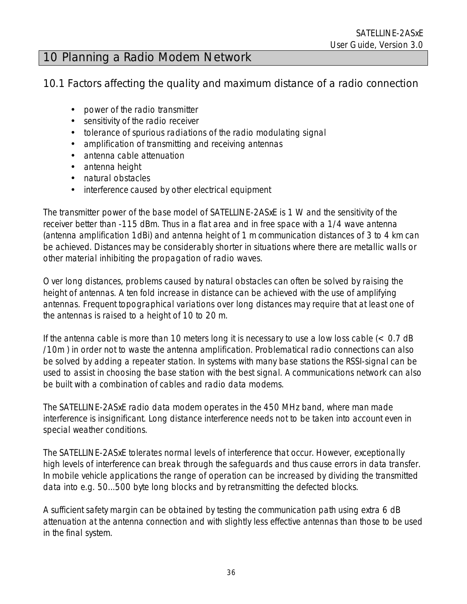# 10 Planning a Radio Modem Network

## 10.1 Factors affecting the quality and maximum distance of a radio connection

- power of the radio transmitter
- sensitivity of the radio receiver
- tolerance of spurious radiations of the radio modulating signal
- amplification of transmitting and receiving antennas
- antenna cable attenuation
- antenna height
- natural obstacles
- interference caused by other electrical equipment

The transmitter power of the base model of SATELLINE-2ASxE is 1 W and the sensitivity of the receiver better than -115 dBm. Thus in a flat area and in free space with a 1/4 wave antenna (antenna amplification 1dBi) and antenna height of 1 m communication distances of 3 to 4 km can be achieved. Distances may be considerably shorter in situations where there are metallic walls or other material inhibiting the propagation of radio waves.

Over long distances, problems caused by natural obstacles can often be solved by raising the height of antennas. A ten fold increase in distance can be achieved with the use of amplifying antennas. Frequent topographical variations over long distances may require that at least one of the antennas is raised to a height of 10 to 20 m.

If the antenna cable is more than 10 meters long it is necessary to use a low loss cable  $\left($  < 0.7 dB /10m ) in order not to waste the antenna amplification. Problematical radio connections can also be solved by adding a repeater station. In systems with many base stations the RSSI-signal can be used to assist in choosing the base station with the best signal. A communications network can also be built with a combination of cables and radio data modems.

The SATELLINE-2ASxE radio data modem operates in the 450 MHz band, where man made interference is insignificant. Long distance interference needs not to be taken into account even in special weather conditions.

The SATELLINE-2ASxE tolerates normal levels of interference that occur. However, exceptionally high levels of interference can break through the safeguards and thus cause errors in data transfer. In mobile vehicle applications the range of operation can be increased by dividing the transmitted data into e.g. 50...500 byte long blocks and by retransmitting the defected blocks.

A sufficient safety margin can be obtained by testing the communication path using extra 6 dB attenuation at the antenna connection and with slightly less effective antennas than those to be used in the final system.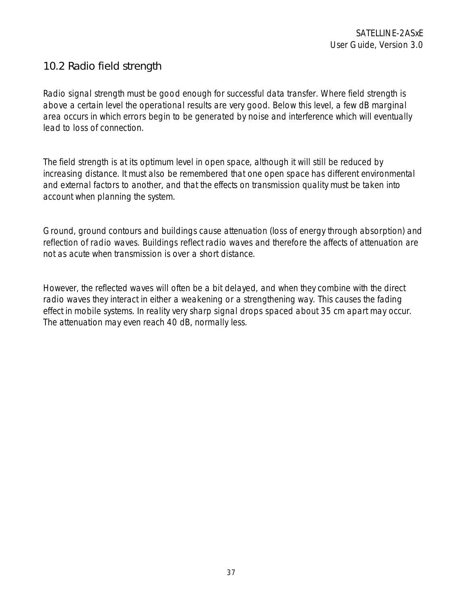# 10.2 Radio field strength

Radio signal strength must be good enough for successful data transfer. Where field strength is above a certain level the operational results are very good. Below this level, a few dB marginal area occurs in which errors begin to be generated by noise and interference which will eventually lead to loss of connection.

The field strength is at its optimum level in open space, although it will still be reduced by increasing distance. It must also be remembered that one open space has different environmental and external factors to another, and that the effects on transmission quality must be taken into account when planning the system.

Ground, ground contours and buildings cause attenuation (loss of energy through absorption) and reflection of radio waves. Buildings reflect radio waves and therefore the affects of attenuation are not as acute when transmission is over a short distance.

However, the reflected waves will often be a bit delayed, and when they combine with the direct radio waves they interact in either a weakening or a strengthening way. This causes the fading effect in mobile systems. In reality very sharp signal drops spaced about 35 cm apart may occur. The attenuation may even reach 40 dB, normally less.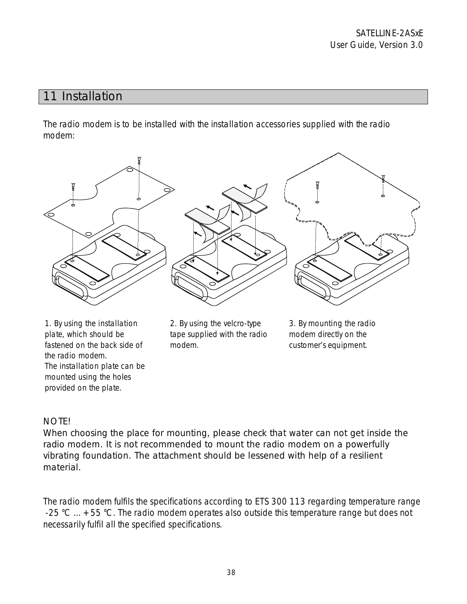# 11 Installation

The radio modem is to be installed with the installation accessories supplied with the radio modem:



plate, which should be fastened on the back side of the radio modem. The installation plate can be mounted using the holes provided on the plate.

 2. By using the velcro-type tape supplied with the radio modem.

 3. By mounting the radio modem directly on the customer's equipment.

### NOTE!

When choosing the place for mounting, please check that water can not get inside the radio modem. It is not recommended to mount the radio modem on a powerfully vibrating foundation. The attachment should be lessened with help of a resilient material.

The radio modem fulfils the specifications according to ETS 300 113 regarding temperature range -25 °C  $\ldots$  +55 °C. The radio modem operates also outside this temperature range but does not necessarily fulfil all the specified specifications.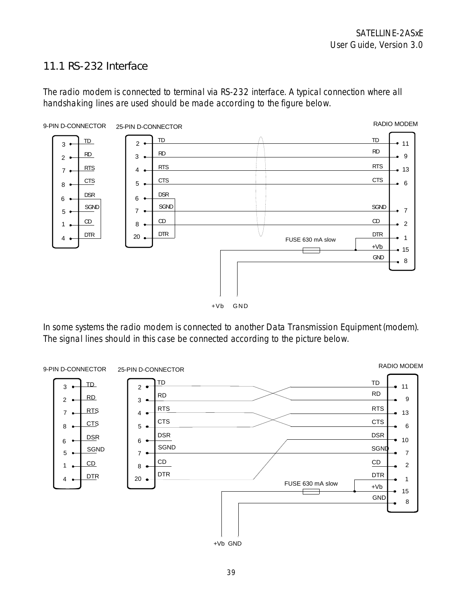## 11.1 RS-232 Interface

The radio modem is connected to terminal via RS-232 interface. A typical connection where all handshaking lines are used should be made according to the figure below.



In some systems the radio modem is connected to another Data Transmission Equipment (modem). The signal lines should in this case be connected according to the picture below.

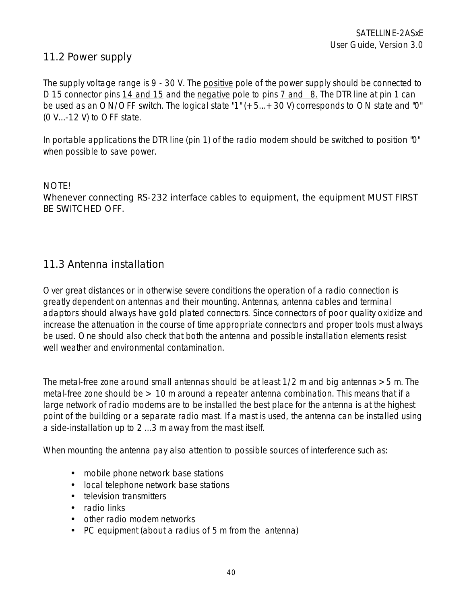## 11.2 Power supply

The supply voltage range is 9 - 30 V. The positive pole of the power supply should be connected to D 15 connector pins 14 and 15 and the negative pole to pins 7 and 8. The DTR line at pin 1 can be used as an ON/OFF switch. The logical state "1" (+5...+30 V) corresponds to ON state and "0" (0 V...-12 V) to OFF state.

In portable applications the DTR line (pin 1) of the radio modem should be switched to position "0" when possible to save power.

### NOTE! Whenever connecting RS-232 interface cables to equipment, the equipment MUST FIRST BE SWITCHED OFF.

## 11.3 Antenna installation

Over great distances or in otherwise severe conditions the operation of a radio connection is greatly dependent on antennas and their mounting. Antennas, antenna cables and terminal adaptors should always have gold plated connectors. Since connectors of poor quality oxidize and increase the attenuation in the course of time appropriate connectors and proper tools must always be used. One should also check that both the antenna and possible installation elements resist well weather and environmental contamination.

The metal-free zone around small antennas should be at least  $1/2$  m and big antennas  $>5$  m. The metal-free zone should be  $> 10$  m around a repeater antenna combination. This means that if a large network of radio modems are to be installed the best place for the antenna is at the highest point of the building or a separate radio mast. If a mast is used, the antenna can be installed using a side-installation up to 2 ...3 m away from the mast itself.

When mounting the antenna pay also attention to possible sources of interference such as:

- mobile phone network base stations
- local telephone network base stations
- television transmitters
- radio links
- other radio modem networks
- PC equipment (about a radius of 5 m from the antenna)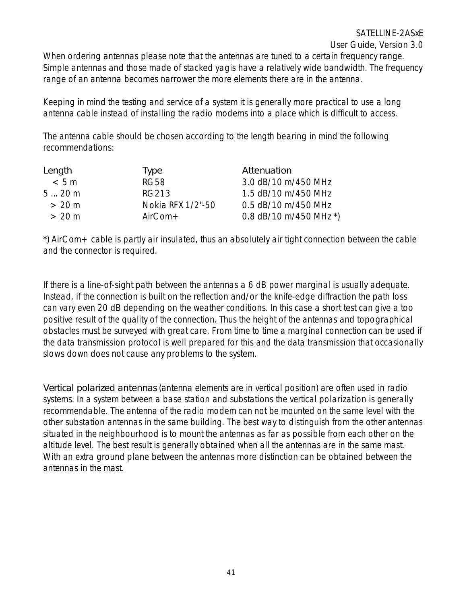# SATELLINE-2ASxE

User Guide, Version 3.0

When ordering antennas please note that the antennas are tuned to a certain frequency range. Simple antennas and those made of stacked yagis have a relatively wide bandwidth. The frequency range of an antenna becomes narrower the more elements there are in the antenna.

Keeping in mind the testing and service of a system it is generally more practical to use a long antenna cable instead of installing the radio modems into a place which is difficult to access.

The antenna cable should be chosen according to the length bearing in mind the following recommendations:

| Length | Type              | Attenuation            |
|--------|-------------------|------------------------|
| < 5m   | <b>RG58</b>       | 3.0 dB/10 m/450 MHz    |
| 520m   | RG213             | 1.5 dB/10 m/450 MHz    |
| > 20 m | Nokia RFX 1/2"-50 | 0.5 dB/10 m/450 MHz    |
| > 20 m | $AirCom+$         | 0.8 dB/10 m/450 MHz *) |

\*) AirCom+ cable is partly air insulated, thus an absolutely air tight connection between the cable and the connector is required.

If there is a line-of-sight path between the antennas a 6 dB power marginal is usually adequate. Instead, if the connection is built on the reflection and/or the knife-edge diffraction the path loss can vary even 20 dB depending on the weather conditions. In this case a short test can give a too positive result of the quality of the connection. Thus the height of the antennas and topographical obstacles must be surveyed with great care. From time to time a marginal connection can be used if the data transmission protocol is well prepared for this and the data transmission that occasionally slows down does not cause any problems to the system.

Vertical polarized antennas (antenna elements are in vertical position) are often used in radio systems. In a system between a base station and substations the vertical polarization is generally recommendable. The antenna of the radio modem can not be mounted on the same level with the other substation antennas in the same building. The best way to distinguish from the other antennas situated in the neighbourhood is to mount the antennas as far as possible from each other on the altitude level. The best result is generally obtained when all the antennas are in the same mast. With an extra ground plane between the antennas more distinction can be obtained between the antennas in the mast.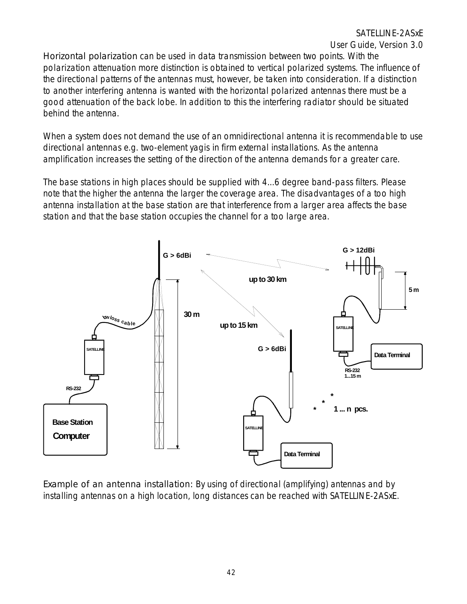Horizontal polarization can be used in data transmission between two points. With the polarization attenuation more distinction is obtained to vertical polarized systems. The influence of the directional patterns of the antennas must, however, be taken into consideration. If a distinction to another interfering antenna is wanted with the horizontal polarized antennas there must be a good attenuation of the back lobe. In addition to this the interfering radiator should be situated behind the antenna.

When a system does not demand the use of an omnidirectional antenna it is recommendable to use directional antennas e.g. two-element yagis in firm external installations. As the antenna amplification increases the setting of the direction of the antenna demands for a greater care.

The base stations in high places should be supplied with 4...6 degree band-pass filters. Please note that the higher the antenna the larger the coverage area. The disadvantages of a too high antenna installation at the base station are that interference from a larger area affects the base station and that the base station occupies the channel for a too large area.



Example of an antenna installation: By using of directional (amplifying) antennas and by installing antennas on a high location, long distances can be reached with SATELLINE-2ASxE.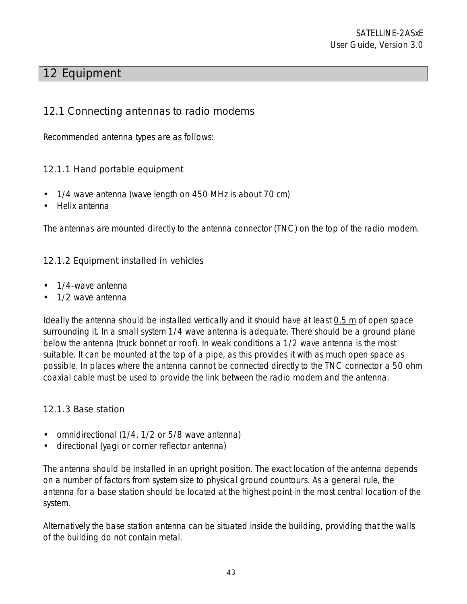# 12 Equipment

## 12.1 Connecting antennas to radio modems

Recommended antenna types are as follows:

### 12.1.1 Hand portable equipment

- 1/4 wave antenna (wave length on 450 MHz is about 70 cm)
- Helix antenna

The antennas are mounted directly to the antenna connector (TNC) on the top of the radio modem.

### 12.1.2 Equipment installed in vehicles

- 1/4-wave antenna
- 1/2 wave antenna

Ideally the antenna should be installed vertically and it should have at least 0.5 m of open space surrounding it. In a small system 1/4 wave antenna is adequate. There should be a ground plane below the antenna (truck bonnet or roof). In weak conditions a 1/2 wave antenna is the most suitable. It can be mounted at the top of a pipe, as this provides it with as much open space as possible. In places where the antenna cannot be connected directly to the TNC connector a 50 ohm coaxial cable must be used to provide the link between the radio modem and the antenna.

### 12.1.3 Base station

- omnidirectional (1/4, 1/2 or 5/8 wave antenna)
- directional (yagi or corner reflector antenna)

The antenna should be installed in an upright position. The exact location of the antenna depends on a number of factors from system size to physical ground countours. As a general rule, the antenna for a base station should be located at the highest point in the most central location of the system.

Alternatively the base station antenna can be situated inside the building, providing that the walls of the building do not contain metal.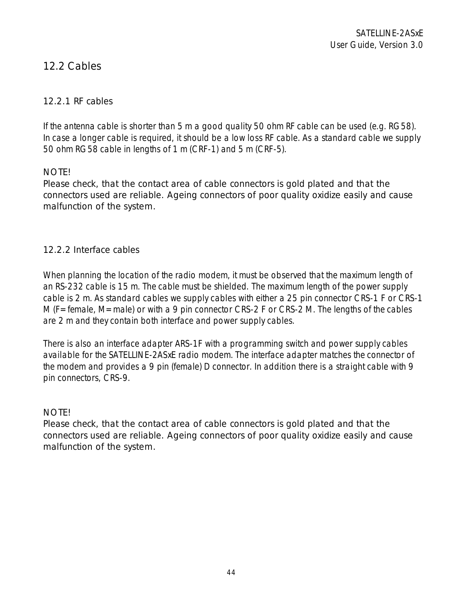# 12.2 Cables

### 12.2.1 RF cables

If the antenna cable is shorter than 5 m a good quality 50 ohm RF cable can be used (e.g. RG58). In case a longer cable is required, it should be a low loss RF cable. As a standard cable we supply 50 ohm RG58 cable in lengths of 1 m (CRF-1) and 5 m (CRF-5).

### NOTE!

Please check, that the contact area of cable connectors is gold plated and that the connectors used are reliable. Ageing connectors of poor quality oxidize easily and cause malfunction of the system.

#### 12.2.2 Interface cables

When planning the location of the radio modem, it must be observed that the maximum length of an RS-232 cable is 15 m. The cable must be shielded. The maximum length of the power supply cable is 2 m. As standard cables we supply cables with either a 25 pin connector CRS-1 F or CRS-1 M (F=female, M=male) or with a 9 pin connector CRS-2 F or CRS-2 M. The lengths of the cables are 2 m and they contain both interface and power supply cables.

There is also an interface adapter ARS-1F with a programming switch and power supply cables available for the SATELLINE-2ASxE radio modem. The interface adapter matches the connector of the modem and provides a 9 pin (female) D connector. In addition there is a straight cable with 9 pin connectors, CRS-9.

#### NOTE!

Please check, that the contact area of cable connectors is gold plated and that the connectors used are reliable. Ageing connectors of poor quality oxidize easily and cause malfunction of the system.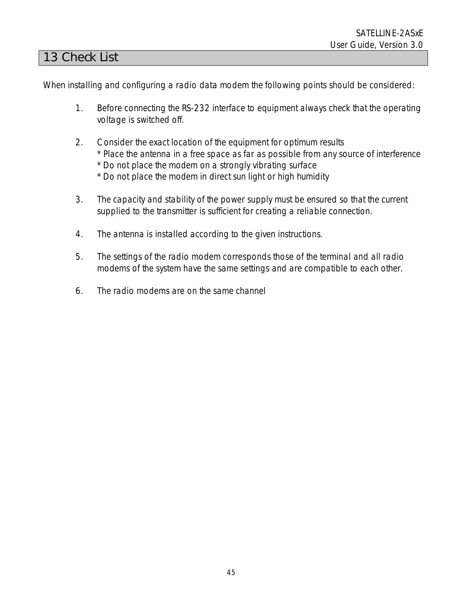## 13 Check List

When installing and configuring a radio data modem the following points should be considered:

- 1. Before connecting the RS-232 interface to equipment always check that the operating voltage is switched off.
- 2. Consider the exact location of the equipment for optimum results \* Place the antenna in a free space as far as possible from any source of interference \* Do not place the modem on a strongly vibrating surface \* Do not place the modem in direct sun light or high humidity
- 3. The capacity and stability of the power supply must be ensured so that the current supplied to the transmitter is sufficient for creating a reliable connection.
- 4. The antenna is installed according to the given instructions.
- 5. The settings of the radio modem corresponds those of the terminal and all radio modems of the system have the same settings and are compatible to each other.
- 6. The radio modems are on the same channel